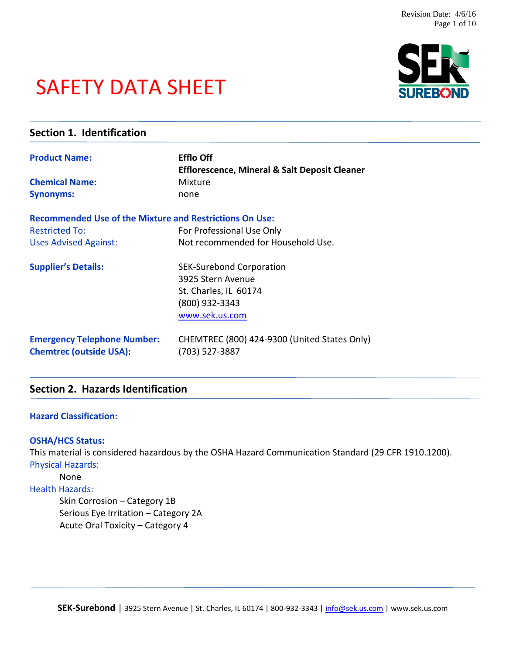# SAFETY DATA SHEET

| Section 1. Identification                                      |                                                          |  |
|----------------------------------------------------------------|----------------------------------------------------------|--|
| <b>Product Name:</b>                                           | <b>Efflo Off</b>                                         |  |
|                                                                | <b>Efflorescence, Mineral &amp; Salt Deposit Cleaner</b> |  |
| <b>Chemical Name:</b>                                          | Mixture                                                  |  |
| <b>Synonyms:</b>                                               | none                                                     |  |
| <b>Recommended Use of the Mixture and Restrictions On Use:</b> |                                                          |  |
| <b>Restricted To:</b>                                          | For Professional Use Only                                |  |
| <b>Uses Advised Against:</b>                                   | Not recommended for Household Use.                       |  |
| <b>Supplier's Details:</b>                                     | <b>SEK-Surebond Corporation</b>                          |  |
|                                                                | 3925 Stern Avenue                                        |  |
|                                                                | St. Charles, IL 60174                                    |  |
|                                                                | (800) 932-3343                                           |  |
|                                                                | www.sek.us.com                                           |  |
| <b>Emergency Telephone Number:</b>                             | CHEMTREC (800) 424-9300 (United States Only)             |  |
| <b>Chemtrec (outside USA):</b>                                 | (703) 527-3887                                           |  |
|                                                                |                                                          |  |

# **Section 2. Hazards Identification**

#### **Hazard Classification:**

#### **OSHA/HCS Status:**

This material is considered hazardous by the OSHA Hazard Communication Standard (29 CFR 1910.1200). Physical Hazards:

#### None

# Health Hazards:

Skin Corrosion – Category 1B Serious Eye Irritation – Category 2A Acute Oral Toxicity – Category 4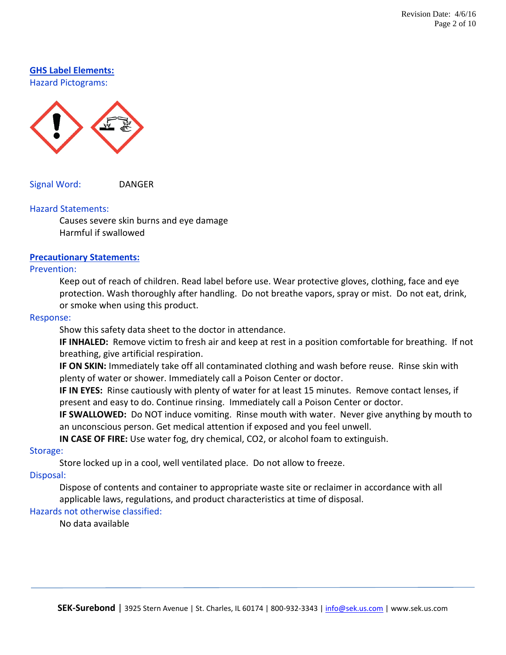# **GHS Label Elements:**

Hazard Pictograms:



Signal Word: DANGER

#### Hazard Statements:

Causes severe skin burns and eye damage Harmful if swallowed

# **Precautionary Statements:**

#### Prevention:

Keep out of reach of children. Read label before use. Wear protective gloves, clothing, face and eye protection. Wash thoroughly after handling. Do not breathe vapors, spray or mist. Do not eat, drink, or smoke when using this product.

#### Response:

Show this safety data sheet to the doctor in attendance.

**IF INHALED:** Remove victim to fresh air and keep at rest in a position comfortable for breathing. If not breathing, give artificial respiration.

**IF ON SKIN:** Immediately take off all contaminated clothing and wash before reuse. Rinse skin with plenty of water or shower. Immediately call a Poison Center or doctor.

**IF IN EYES:** Rinse cautiously with plenty of water for at least 15 minutes. Remove contact lenses, if present and easy to do. Continue rinsing. Immediately call a Poison Center or doctor.

**IF SWALLOWED:** Do NOT induce vomiting. Rinse mouth with water. Never give anything by mouth to an unconscious person. Get medical attention if exposed and you feel unwell.

**IN CASE OF FIRE:** Use water fog, dry chemical, CO2, or alcohol foam to extinguish.

#### Storage:

Store locked up in a cool, well ventilated place. Do not allow to freeze.

#### Disposal:

Dispose of contents and container to appropriate waste site or reclaimer in accordance with all applicable laws, regulations, and product characteristics at time of disposal.

# Hazards not otherwise classified:

No data available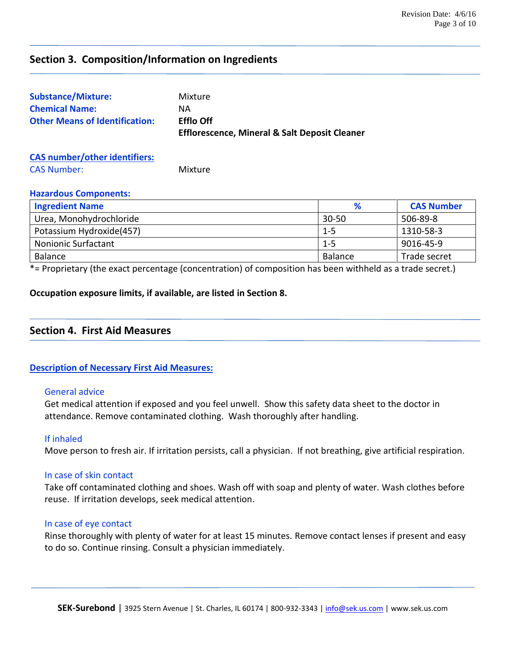# **Section 3. Composition/Information on Ingredients**

| <b>Substance/Mixture:</b>             | Mixture                                                  |
|---------------------------------------|----------------------------------------------------------|
| <b>Chemical Name:</b>                 | NА                                                       |
| <b>Other Means of Identification:</b> | <b>Efflo Off</b>                                         |
|                                       | <b>Efflorescence, Mineral &amp; Salt Deposit Cleaner</b> |
|                                       |                                                          |

## **CAS number/other identifiers:** CAS Number: Mixture

#### **Hazardous Components:**

| <b>Ingredient Name</b>     | %         | <b>CAS Number</b> |
|----------------------------|-----------|-------------------|
| Urea, Monohydrochloride    | $30 - 50$ | 506-89-8          |
| Potassium Hydroxide(457)   | $1 - 5$   | 1310-58-3         |
| <b>Nonionic Surfactant</b> | $1 - 5$   | 9016-45-9         |
| Balance                    | Balance   | Trade secret      |

\*= Proprietary (the exact percentage (concentration) of composition has been withheld as a trade secret.)

#### **Occupation exposure limits, if available, are listed in Section 8.**

#### **Section 4. First Aid Measures**

#### **Description of Necessary First Aid Measures:**

#### General advice

Get medical attention if exposed and you feel unwell. Show this safety data sheet to the doctor in attendance. Remove contaminated clothing. Wash thoroughly after handling.

#### If inhaled

Move person to fresh air. If irritation persists, call a physician. If not breathing, give artificial respiration.

#### In case of skin contact

Take off contaminated clothing and shoes. Wash off with soap and plenty of water. Wash clothes before reuse. If irritation develops, seek medical attention.

#### In case of eye contact

Rinse thoroughly with plenty of water for at least 15 minutes. Remove contact lenses if present and easy to do so. Continue rinsing. Consult a physician immediately.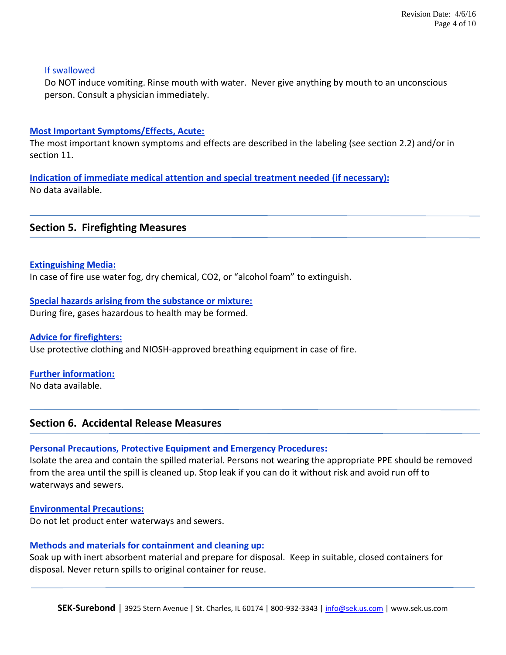#### If swallowed

Do NOT induce vomiting. Rinse mouth with water. Never give anything by mouth to an unconscious person. Consult a physician immediately.

#### **Most Important Symptoms/Effects, Acute:**

The most important known symptoms and effects are described in the labeling (see section 2.2) and/or in section 11.

**Indication of immediate medical attention and special treatment needed (if necessary):** No data available.

#### **Section 5. Firefighting Measures**

**Extinguishing Media:**

In case of fire use water fog, dry chemical, CO2, or "alcohol foam" to extinguish.

**Special hazards arising from the substance or mixture:** During fire, gases hazardous to health may be formed.

**Advice for firefighters:** Use protective clothing and NIOSH-approved breathing equipment in case of fire.

**Further information:**

No data available.

# **Section 6. Accidental Release Measures**

#### **Personal Precautions, Protective Equipment and Emergency Procedures:**

Isolate the area and contain the spilled material. Persons not wearing the appropriate PPE should be removed from the area until the spill is cleaned up. Stop leak if you can do it without risk and avoid run off to waterways and sewers.

#### **Environmental Precautions:**

Do not let product enter waterways and sewers.

#### **Methods and materials for containment and cleaning up:**

Soak up with inert absorbent material and prepare for disposal. Keep in suitable, closed containers for disposal. Never return spills to original container for reuse.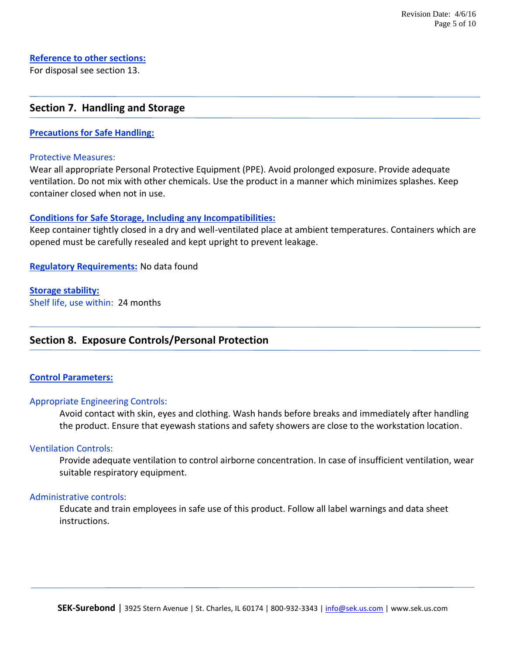# **Reference to other sections:**

For disposal see section 13.

# **Section 7. Handling and Storage**

#### **Precautions for Safe Handling:**

#### Protective Measures:

Wear all appropriate Personal Protective Equipment (PPE). Avoid prolonged exposure. Provide adequate ventilation. Do not mix with other chemicals. Use the product in a manner which minimizes splashes. Keep container closed when not in use.

#### **Conditions for Safe Storage, Including any Incompatibilities:**

Keep container tightly closed in a dry and well-ventilated place at ambient temperatures. Containers which are opened must be carefully resealed and kept upright to prevent leakage.

**Regulatory Requirements:** No data found

#### **Storage stability:**

Shelf life, use within: 24 months

# **Section 8. Exposure Controls/Personal Protection**

#### **Control Parameters:**

#### Appropriate Engineering Controls:

Avoid contact with skin, eyes and clothing. Wash hands before breaks and immediately after handling the product. Ensure that eyewash stations and safety showers are close to the workstation location.

#### Ventilation Controls:

Provide adequate ventilation to control airborne concentration. In case of insufficient ventilation, wear suitable respiratory equipment.

#### Administrative controls:

Educate and train employees in safe use of this product. Follow all label warnings and data sheet instructions.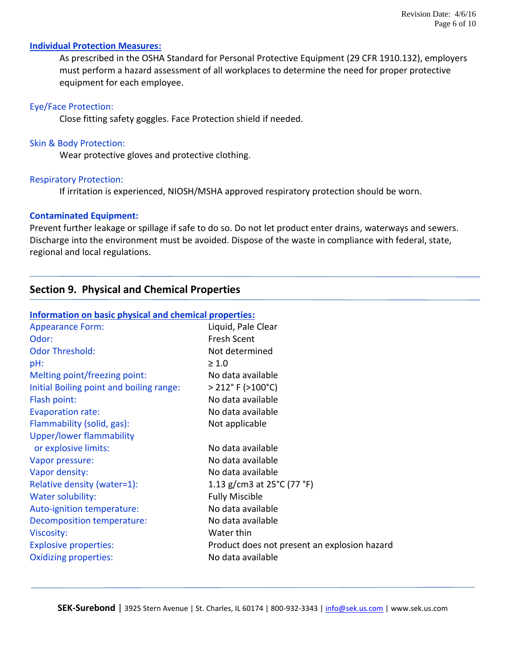#### **Individual Protection Measures:**

As prescribed in the OSHA Standard for Personal Protective Equipment (29 CFR 1910.132), employers must perform a hazard assessment of all workplaces to determine the need for proper protective equipment for each employee.

#### Eye/Face Protection:

Close fitting safety goggles. Face Protection shield if needed.

#### Skin & Body Protection:

Wear protective gloves and protective clothing.

#### Respiratory Protection:

If irritation is experienced, NIOSH/MSHA approved respiratory protection should be worn.

#### **Contaminated Equipment:**

Prevent further leakage or spillage if safe to do so. Do not let product enter drains, waterways and sewers. Discharge into the environment must be avoided. Dispose of the waste in compliance with federal, state, regional and local regulations.

# **Section 9. Physical and Chemical Properties**

| Information on basic physical and chemical properties: |                                              |  |  |  |
|--------------------------------------------------------|----------------------------------------------|--|--|--|
| <b>Appearance Form:</b>                                | Liquid, Pale Clear                           |  |  |  |
| Odor:                                                  | Fresh Scent                                  |  |  |  |
| <b>Odor Threshold:</b>                                 | Not determined                               |  |  |  |
| pH:                                                    | $\geq 1.0$                                   |  |  |  |
| Melting point/freezing point:                          | No data available                            |  |  |  |
| Initial Boiling point and boiling range:               | $>$ 212 $^{\circ}$ F ( $>$ 100 $^{\circ}$ C) |  |  |  |
| Flash point:                                           | No data available                            |  |  |  |
| <b>Evaporation rate:</b>                               | No data available                            |  |  |  |
| Flammability (solid, gas):                             | Not applicable                               |  |  |  |
| <b>Upper/lower flammability</b>                        |                                              |  |  |  |
| or explosive limits:                                   | No data available                            |  |  |  |
| Vapor pressure:                                        | No data available                            |  |  |  |
| Vapor density:                                         | No data available                            |  |  |  |
| Relative density (water=1):                            | 1.13 g/cm3 at 25°C (77 °F)                   |  |  |  |
| Water solubility:                                      | <b>Fully Miscible</b>                        |  |  |  |
| Auto-ignition temperature:                             | No data available                            |  |  |  |
| Decomposition temperature:                             | No data available                            |  |  |  |
| Viscosity:                                             | Water thin                                   |  |  |  |
| <b>Explosive properties:</b>                           | Product does not present an explosion hazard |  |  |  |
| <b>Oxidizing properties:</b>                           | No data available                            |  |  |  |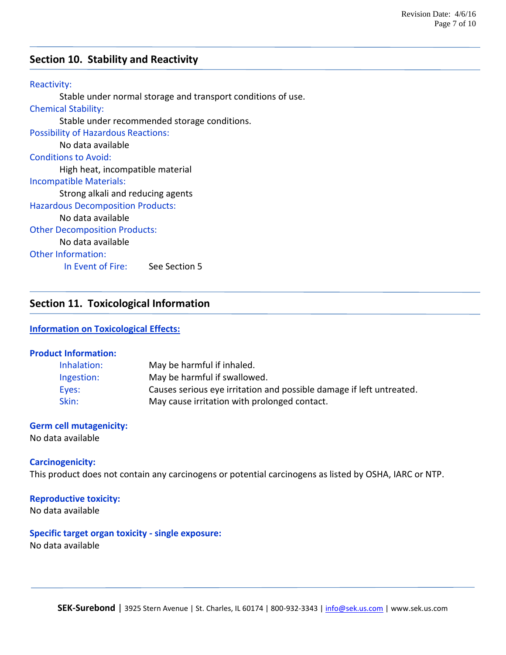# **Section 10. Stability and Reactivity**

#### Reactivity:

Stable under normal storage and transport conditions of use.

#### Chemical Stability: Stable under recommended storage conditions.

Possibility of Hazardous Reactions: No data available Conditions to Avoid:

High heat, incompatible material

### Incompatible Materials:

Strong alkali and reducing agents

### Hazardous Decomposition Products:

#### No data available

Other Decomposition Products:

# No data available

Other Information:

In Event of Fire: See Section 5

# **Section 11. Toxicological Information**

#### **Information on Toxicological Effects:**

#### **Product Information:**

| Inhalation: | May be harmful if inhaled.                                           |
|-------------|----------------------------------------------------------------------|
| Ingestion:  | May be harmful if swallowed.                                         |
| Eyes:       | Causes serious eye irritation and possible damage if left untreated. |
| Skin:       | May cause irritation with prolonged contact.                         |

# **Germ cell mutagenicity:**

No data available

#### **Carcinogenicity:**

This product does not contain any carcinogens or potential carcinogens as listed by OSHA, IARC or NTP.

#### **Reproductive toxicity:**

No data available

# **Specific target organ toxicity - single exposure:**

No data available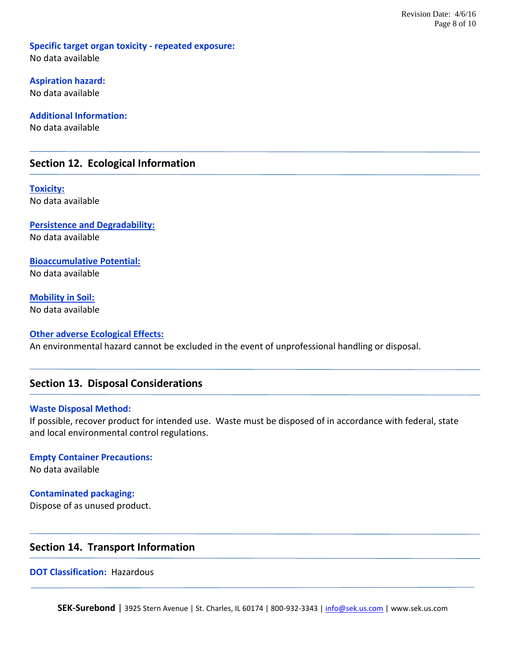**Specific target organ toxicity - repeated exposure:** No data available

**Aspiration hazard:** No data available

**Additional Information:** No data available

# **Section 12. Ecological Information**

**Toxicity:** No data available

**Persistence and Degradability:** No data available

**Bioaccumulative Potential:** No data available

**Mobility in Soil:** No data available

#### **Other adverse Ecological Effects:** An environmental hazard cannot be excluded in the event of unprofessional handling or disposal.

# **Section 13. Disposal Considerations**

#### **Waste Disposal Method:**

If possible, recover product for intended use. Waste must be disposed of in accordance with federal, state and local environmental control regulations.

**Empty Container Precautions:** No data available

**Contaminated packaging:**

Dispose of as unused product.

# **Section 14. Transport Information**

**DOT Classification: Hazardous**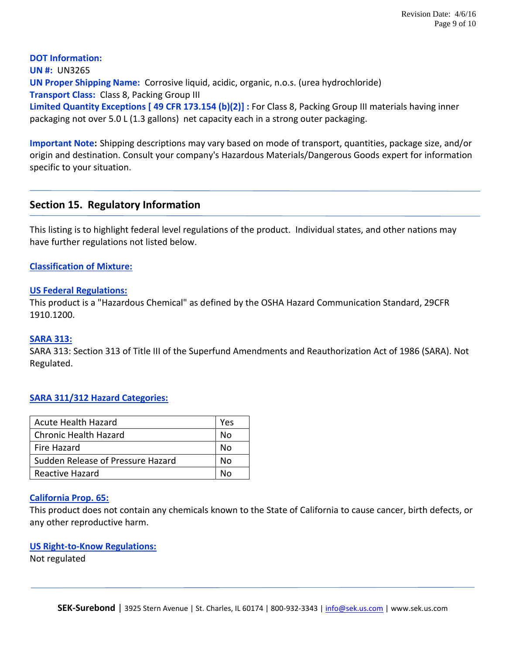**DOT Information: UN #:** UN3265 **UN Proper Shipping Name:** Corrosive liquid, acidic, organic, n.o.s. (urea hydrochloride) **Transport Class:** Class 8, Packing Group III **Limited Quantity Exceptions [ 49 CFR 173.154 (b)(2)] :** For Class 8, Packing Group III materials having inner packaging not over 5.0 L (1.3 gallons) net capacity each in a strong outer packaging.

**Important Note:** Shipping descriptions may vary based on mode of transport, quantities, package size, and/or origin and destination. Consult your company's Hazardous Materials/Dangerous Goods expert for information specific to your situation.

# **Section 15. Regulatory Information**

This listing is to highlight federal level regulations of the product. Individual states, and other nations may have further regulations not listed below.

#### **Classification of Mixture:**

#### **US Federal Regulations:**

This product is a "Hazardous Chemical" as defined by the OSHA Hazard Communication Standard, 29CFR 1910.1200.

#### **SARA 313:**

SARA 313: Section 313 of Title III of the Superfund Amendments and Reauthorization Act of 1986 (SARA). Not Regulated.

#### **SARA 311/312 Hazard Categories:**

| <b>Acute Health Hazard</b>        |  |
|-----------------------------------|--|
| <b>Chronic Health Hazard</b>      |  |
| Fire Hazard                       |  |
| Sudden Release of Pressure Hazard |  |
| Reactive Hazard                   |  |

#### **California Prop. 65:**

This product does not contain any chemicals known to the State of California to cause cancer, birth defects, or any other reproductive harm.

#### **US Right-to-Know Regulations:**

Not regulated